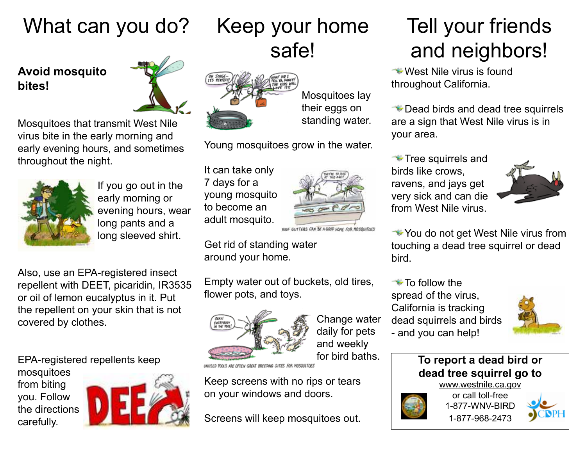# What can you do?

#### **Avoid mosquito bites!**



Mosquitoes that transmit West Nile virus bite in the early morning and early evening hours, and sometimes throughout the night.



If you go out in the early morning or evening hours, wear long pants and a long sleeved shirt.

Also, use an EPA-registered insect repellent with DEET, picaridin, IR3535 or oil of lemon eucalyptus in it. Put the repellent on your skin that is not covered by clothes.

EPA-registered repellents keep mosquitoes from biting you. Follow the directions carefully.



## Keep your home safe!

Mosquitoes lay their eggs on standing water.

Young mosquitoes grow in the water.

It can take only 7 days for a young mosquito to become an adult mosquito.



ROOF GUTTERS CAN BE A GOOD HOME FOR MOSQUITOES

Get rid of standing water around your home.

Empty water out of buckets, old tires, flower pots, and toys.



Change water daily for pets and weekly for bird baths.

**SECTING SITES FOR MOSQUITIVES** 

Keep screens with no rips or tears on your windows and doors.

Screens will keep mosquitoes out.

## Tell your friends and neighbors!

**West Nile virus is found** throughout California.

Dead birds and dead tree squirrels are a sign that West Nile virus is in your area.

**Tree squirrels and** birds like crows, ravens, and jays get very sick and can die from West Nile virus.



**★You do not get West Nile virus from** touching a dead tree squirrel or dead bird.

**To follow the** spread of the virus, California is tracking dead squirrels and birds - and you can help!